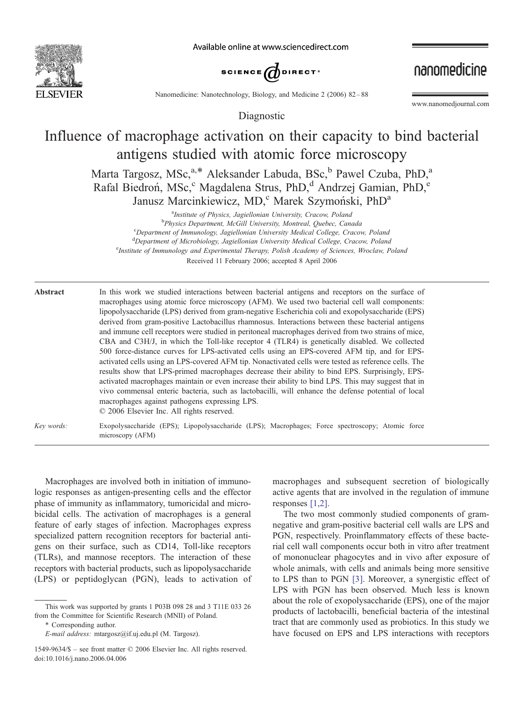

Available online at www.sciencedirect.com



nanomedicine

Nanomedicine: Nanotechnology, Biology, and Medicine 2 (2006) 82-88

Diagnostic

www.nanomedjournal.com

# Influence of macrophage activation on their capacity to bind bacterial antigens studied with atomic force microscopy

Marta Targosz, MSc,<sup>a,\*</sup> Aleksander Labuda, BSc,<sup>b</sup> Pawel Czuba, PhD,<sup>a</sup> Rafal Biedron, MSc,<sup>c</sup> Magdalena Strus, PhD,<sup>d</sup> Andrzej Gamian, PhD,<sup>e</sup> Janusz Marcinkiewicz, MD,<sup>c</sup> Marek Szymoński, PhD<sup>a</sup>

<sup>a</sup>Institute of Physics, Jagiellonian University, Cracow, Poland<br><sup>b</sup>Physics Danartmant McGill University, Montreal, Quabec, Can <sup>b</sup>Physics Department, McGill University, Montreal, Quebec, Canada Department of Immunology, Jagiellonian University Medical College, Cracow, Poland d<br>
Department of Microbiology, Jagiellonian University Medical College, Cracow, Poland<br>
Elisabeth Academy of Sciences, Wroclaw, P <sup>e</sup> Institute of Immunology and Experimental Therapy, Polish Academy of Sciences, Wroclaw, Poland Received 11 February 2006; accepted 8 April 2006

| Abstract   | In this work we studied interactions between bacterial antigens and receptors on the surface of<br>macrophages using atomic force microscopy (AFM). We used two bacterial cell wall components:<br>lipopolysaccharide (LPS) derived from gram-negative Escherichia coli and exopolysaccharide (EPS)<br>derived from gram-positive Lactobacillus rhamnosus. Interactions between these bacterial antigens<br>and immune cell receptors were studied in peritoneal macrophages derived from two strains of mice,<br>CBA and C3H/J, in which the Toll-like receptor 4 (TLR4) is genetically disabled. We collected<br>500 force-distance curves for LPS-activated cells using an EPS-covered AFM tip, and for EPS-<br>activated cells using an LPS-covered AFM tip. Nonactivated cells were tested as reference cells. The<br>results show that LPS-primed macrophages decrease their ability to bind EPS. Surprisingly, EPS-<br>activated macrophages maintain or even increase their ability to bind LPS. This may suggest that in<br>vivo commensal enteric bacteria, such as lactobacilli, will enhance the defense potential of local<br>macrophages against pathogens expressing LPS.<br>© 2006 Elsevier Inc. All rights reserved. |
|------------|---------------------------------------------------------------------------------------------------------------------------------------------------------------------------------------------------------------------------------------------------------------------------------------------------------------------------------------------------------------------------------------------------------------------------------------------------------------------------------------------------------------------------------------------------------------------------------------------------------------------------------------------------------------------------------------------------------------------------------------------------------------------------------------------------------------------------------------------------------------------------------------------------------------------------------------------------------------------------------------------------------------------------------------------------------------------------------------------------------------------------------------------------------------------------------------------------------------------------------------|
| Key words: | Exopolysaccharide (EPS); Lipopolysaccharide (LPS); Macrophages; Force spectroscopy; Atomic force<br>microscopy (AFM)                                                                                                                                                                                                                                                                                                                                                                                                                                                                                                                                                                                                                                                                                                                                                                                                                                                                                                                                                                                                                                                                                                                  |

Macrophages are involved both in initiation of immunologic responses as antigen-presenting cells and the effector phase of immunity as inflammatory, tumoricidal and microbicidal cells. The activation of macrophages is a general feature of early stages of infection. Macrophages express specialized pattern recognition receptors for bacterial antigens on their surface, such as CD14, Toll-like receptors (TLRs), and mannose receptors. The interaction of these receptors with bacterial products, such as lipopolysaccharide (LPS) or peptidoglycan (PGN), leads to activation of

4 Corresponding author.

E-mail address: mtargosz@if.uj.edu.pl (M. Targosz).

macrophages and subsequent secretion of biologically active agents that are involved in the regulation of immune responses [\[1,2\].](#page-6-0)

The two most commonly studied components of gramnegative and gram-positive bacterial cell walls are LPS and PGN, respectively. Proinflammatory effects of these bacterial cell wall components occur both in vitro after treatment of mononuclear phagocytes and in vivo after exposure of whole animals, with cells and animals being more sensitive to LPS than to PGN [\[3\].](#page-6-0) Moreover, a synergistic effect of LPS with PGN has been observed. Much less is known about the role of exopolysaccharide (EPS), one of the major products of lactobacilli, beneficial bacteria of the intestinal tract that are commonly used as probiotics. In this study we have focused on EPS and LPS interactions with receptors

This work was supported by grants 1 P03B 098 28 and 3 T11E 033 26 from the Committee for Scientific Research (MNII) of Poland.

<sup>1549-9634/\$ –</sup> see front matter  $\odot$  2006 Elsevier Inc. All rights reserved. doi:10.1016/j.nano.2006.04.006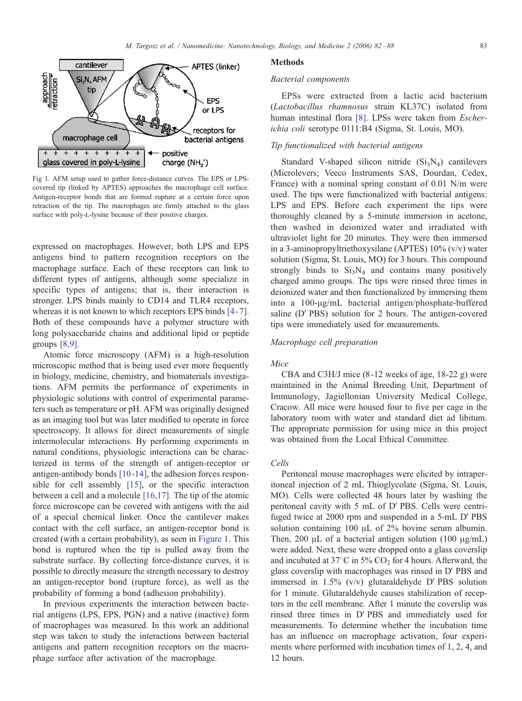

Fig 1. AFM setup used to gather force-distance curves. The EPS or LPScovered tip (linked by APTES) approaches the macrophage cell surface. Antigen-receptor bonds that are formed rupture at a certain force upon retraction of the tip. The macrophages are firmly attached to the glass surface with poly-L-lysine because of their positive charges.

expressed on macrophages. However, both LPS and EPS antigens bind to pattern recognition receptors on the macrophage surface. Each of these receptors can link to different types of antigens, although some specialize in specific types of antigens; that is, their interaction is stronger. LPS binds mainly to CD14 and TLR4 receptors, whereas it is not known to which receptors EPS binds [4-7]. Both of these compounds have a polymer structure with long polysaccharide chains and additional lipid or peptide groups [\[8,9\].](#page-6-0)

Atomic force microscopy (AFM) is a high-resolution microscopic method that is being used ever more frequently in biology, medicine, chemistry, and biomaterials investigations. AFM permits the performance of experiments in physiologic solutions with control of experimental parameters such as temperature or pH. AFM was originally designed as an imaging tool but was later modified to operate in force spectroscopy. It allows for direct measurements of single intermolecular interactions. By performing experiments in natural conditions, physiologic interactions can be characterized in terms of the strength of antigen-receptor or antigen-antibody bonds [\[10 -14\]](#page-6-0), the adhesion forces responsible for cell assembly [\[15\],](#page-6-0) or the specific interaction between a cell and a molecule [\[16,17\].](#page-6-0) The tip of the atomic force microscope can be covered with antigens with the aid of a special chemical linker. Once the cantilever makes contact with the cell surface, an antigen-receptor bond is created (with a certain probability), as seen in Figure 1. This bond is ruptured when the tip is pulled away from the substrate surface. By collecting force-distance curves, it is possible to directly measure the strength necessary to destroy an antigen-receptor bond (rupture force), as well as the probability of forming a bond (adhesion probability).

In previous experiments the interaction between bacterial antigens (LPS, EPS, PGN) and a native (inactive) form of macrophages was measured. In this work an additional step was taken to study the interactions between bacterial antigens and pattern recognition receptors on the macrophage surface after activation of the macrophage.

#### Methods

#### Bacterial components

EPSs were extracted from a lactic acid bacterium (Lactobacillus rhamnosus strain KL37C) isolated from human intestinal flora [\[8\].](#page-6-0) LPSs were taken from *Escher*ichia coli serotype 0111:B4 (Sigma, St. Louis, MO).

# Tip functionalized with bacterial antigens

Standard V-shaped silicon nitride  $(Si<sub>3</sub>N<sub>4</sub>)$  cantilevers (Microlevers; Veeco Instruments SAS, Dourdan, Cedex, France) with a nominal spring constant of 0.01 N/m were used. The tips were functionalized with bacterial antigens: LPS and EPS. Before each experiment the tips were thoroughly cleaned by a 5-minute immersion in acetone, then washed in deionized water and irradiated with ultraviolet light for 20 minutes. They were then immersed in a 3-aminopropyltriethoxysilane (APTES) 10% (v/v) water solution (Sigma, St. Louis, MO) for 3 hours. This compound strongly binds to  $Si<sub>3</sub>N<sub>4</sub>$  and contains many positively charged amino groups. The tips were rinsed three times in deionized water and then functionalized by immersing them into a 100-µg/mL bacterial antigen/phosphate-buffered saline (D' PBS) solution for 2 hours. The antigen-covered tips were immediately used for measurements.

### Macrophage cell preparation

## Mice

CBA and C3H/J mice (8 -12 weeks of age, 18-22 g) were maintained in the Animal Breeding Unit, Department of Immunology, Jagiellonian University Medical College, Cracow. All mice were housed four to five per cage in the laboratory room with water and standard diet ad libitum. The appropriate permission for using mice in this project was obtained from the Local Ethical Committee.

## Cells

Peritoneal mouse macrophages were elicited by intraperitoneal injection of 2 mL Thioglycolate (Sigma, St. Louis, MO). Cells were collected 48 hours later by washing the peritoneal cavity with 5 mL of D' PBS. Cells were centrifuged twice at 2000 rpm and suspended in a 5-mL D' PBS solution containing 100  $\mu$ L of 2% bovine serum albumin. Then, 200  $\mu$ L of a bacterial antigen solution (100  $\mu$ g/mL) were added. Next, these were dropped onto a glass coverslip and incubated at 37 $\degree$ C in 5% CO<sub>2</sub> for 4 hours. Afterward, the glass coverslip with macrophages was rinsed in D' PBS and immersed in  $1.5\%$  (v/v) glutaraldehyde D'PBS solution for 1 minute. Glutaraldehyde causes stabilization of receptors in the cell membrane. After 1 minute the coverslip was rinsed three times in D' PBS and immediately used for measurements. To determine whether the incubation time has an influence on macrophage activation, four experiments where performed with incubation times of 1, 2, 4, and 12 hours.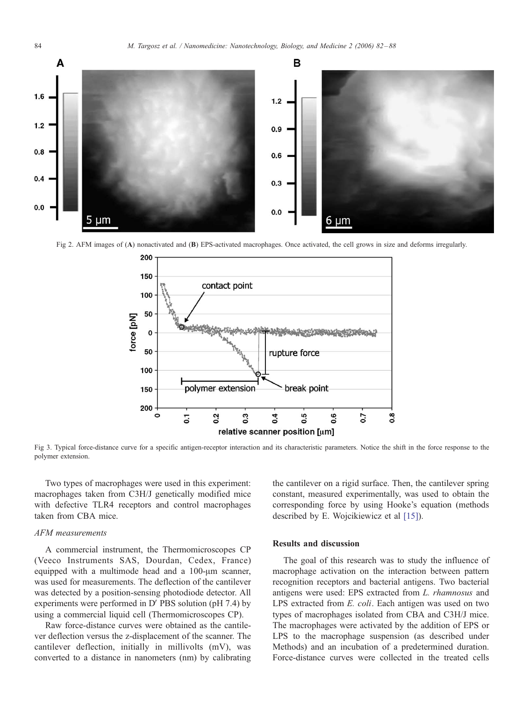<span id="page-2-0"></span>

Fig 2. AFM images of (A) nonactivated and (B) EPS-activated macrophages. Once activated, the cell grows in size and deforms irregularly.



Fig 3. Typical force-distance curve for a specific antigen-receptor interaction and its characteristic parameters. Notice the shift in the force response to the polymer extension.

Two types of macrophages were used in this experiment: macrophages taken from C3H/J genetically modified mice with defective TLR4 receptors and control macrophages taken from CBA mice.

#### AFM measurements

A commercial instrument, the Thermomicroscopes CP (Veeco Instruments SAS, Dourdan, Cedex, France) equipped with a multimode head and a  $100$ - $\mu$ m scanner, was used for measurements. The deflection of the cantilever was detected by a position-sensing photodiode detector. All experiments were performed in  $D'$  PBS solution (pH 7.4) by using a commercial liquid cell (Thermomicroscopes CP).

Raw force-distance curves were obtained as the cantilever deflection versus the z-displacement of the scanner. The cantilever deflection, initially in millivolts (mV), was converted to a distance in nanometers (nm) by calibrating

the cantilever on a rigid surface. Then, the cantilever spring constant, measured experimentally, was used to obtain the corresponding force by using Hooke's equation (methods described by E. Wojcikiewicz et al [\[15\]\)](#page-6-0).

## Results and discussion

The goal of this research was to study the influence of macrophage activation on the interaction between pattern recognition receptors and bacterial antigens. Two bacterial antigens were used: EPS extracted from L. rhamnosus and LPS extracted from E. coli. Each antigen was used on two types of macrophages isolated from CBA and C3H/J mice. The macrophages were activated by the addition of EPS or LPS to the macrophage suspension (as described under Methods) and an incubation of a predetermined duration. Force-distance curves were collected in the treated cells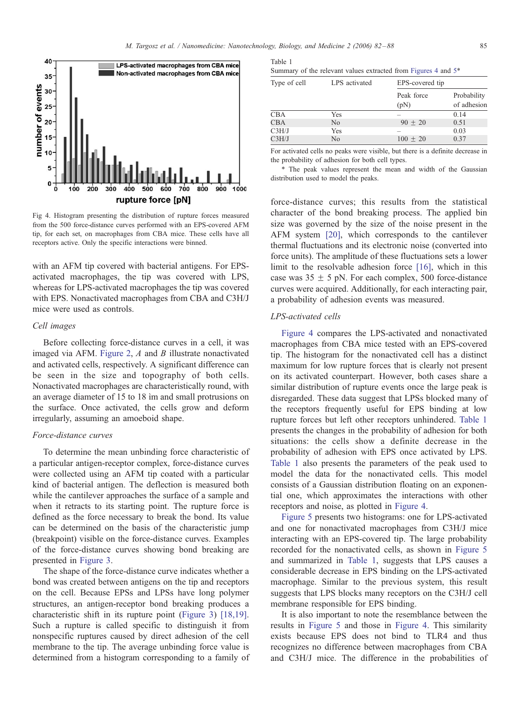Tab



Fig 4. Histogram presenting the distribution of rupture forces measured from the 500 force-distance curves performed with an EPS-covered AFM tip, for each set, on macrophages from CBA mice. These cells have all receptors active. Only the specific interactions were binned.

with an AFM tip covered with bacterial antigens. For EPSactivated macrophages, the tip was covered with LPS, whereas for LPS-activated macrophages the tip was covered with EPS. Nonactivated macrophages from CBA and C3H/J mice were used as controls.

## Cell images

Before collecting force-distance curves in a cell, it was imaged via AFM. [Figure 2](#page-2-0),  $A$  and  $B$  illustrate nonactivated and activated cells, respectively. A significant difference can be seen in the size and topography of both cells. Nonactivated macrophages are characteristically round, with an average diameter of 15 to 18 im and small protrusions on the surface. Once activated, the cells grow and deform irregularly, assuming an amoeboid shape.

#### Force-distance curves

To determine the mean unbinding force characteristic of a particular antigen-receptor complex, force-distance curves were collected using an AFM tip coated with a particular kind of bacterial antigen. The deflection is measured both while the cantilever approaches the surface of a sample and when it retracts to its starting point. The rupture force is defined as the force necessary to break the bond. Its value can be determined on the basis of the characteristic jump (breakpoint) visible on the force-distance curves. Examples of the force-distance curves showing bond breaking are presented in [Figure 3](#page-2-0).

The shape of the force-distance curve indicates whether a bond was created between antigens on the tip and receptors on the cell. Because EPSs and LPSs have long polymer structures, an antigen-receptor bond breaking produces a characteristic shift in its rupture point ([Figure 3\)](#page-2-0) [\[18,19\].](#page-6-0) Such a rupture is called specific to distinguish it from nonspecific ruptures caused by direct adhesion of the cell membrane to the tip. The average unbinding force value is determined from a histogram corresponding to a family of

| Table 1                                                                    |  |  |  |  |
|----------------------------------------------------------------------------|--|--|--|--|
| Summary of the relevant values extracted from Figures 4 and 5 <sup>*</sup> |  |  |  |  |

| Type of cell | LPS activated  |                    | EPS-covered tip            |  |  |  |  |
|--------------|----------------|--------------------|----------------------------|--|--|--|--|
|              |                | Peak force<br>(pN) | Probability<br>of adhesion |  |  |  |  |
| CBA          | Yes            |                    | 0.14                       |  |  |  |  |
| <b>CBA</b>   | N <sub>0</sub> | $90 + 20$          | 0.51                       |  |  |  |  |
| C3H/J        | Yes            |                    | 0.03                       |  |  |  |  |
| C3H/J        | No             | $100 \pm 20$       | 0.37                       |  |  |  |  |

For activated cells no peaks were visible, but there is a definite decrease in the probability of adhesion for both cell types.

4 The peak values represent the mean and width of the Gaussian distribution used to model the peaks.

force-distance curves; this results from the statistical character of the bond breaking process. The applied bin size was governed by the size of the noise present in the AFM system [\[20\],](#page-6-0) which corresponds to the cantilever thermal fluctuations and its electronic noise (converted into force units). The amplitude of these fluctuations sets a lower limit to the resolvable adhesion force [\[16\],](#page-6-0) which in this case was  $35 \pm 5$  pN. For each complex, 500 force-distance curves were acquired. Additionally, for each interacting pair, a probability of adhesion events was measured.

#### LPS-activated cells

Figure 4 compares the LPS-activated and nonactivated macrophages from CBA mice tested with an EPS-covered tip. The histogram for the nonactivated cell has a distinct maximum for low rupture forces that is clearly not present on its activated counterpart. However, both cases share a similar distribution of rupture events once the large peak is disregarded. These data suggest that LPSs blocked many of the receptors frequently useful for EPS binding at low rupture forces but left other receptors unhindered. Table 1 presents the changes in the probability of adhesion for both situations: the cells show a definite decrease in the probability of adhesion with EPS once activated by LPS. Table 1 also presents the parameters of the peak used to model the data for the nonactivated cells. This model consists of a Gaussian distribution floating on an exponential one, which approximates the interactions with other receptors and noise, as plotted in Figure 4.

[Figure 5](#page-4-0) presents two histograms: one for LPS-activated and one for nonactivated macrophages from C3H/J mice interacting with an EPS-covered tip. The large probability recorded for the nonactivated cells, as shown in [Figure 5](#page-4-0) and summarized in Table 1, suggests that LPS causes a considerable decrease in EPS binding on the LPS-activated macrophage. Similar to the previous system, this result suggests that LPS blocks many receptors on the C3H/J cell membrane responsible for EPS binding.

It is also important to note the resemblance between the results in [Figure 5](#page-4-0) and those in Figure 4. This similarity exists because EPS does not bind to TLR4 and thus recognizes no difference between macrophages from CBA and C3H/J mice. The difference in the probabilities of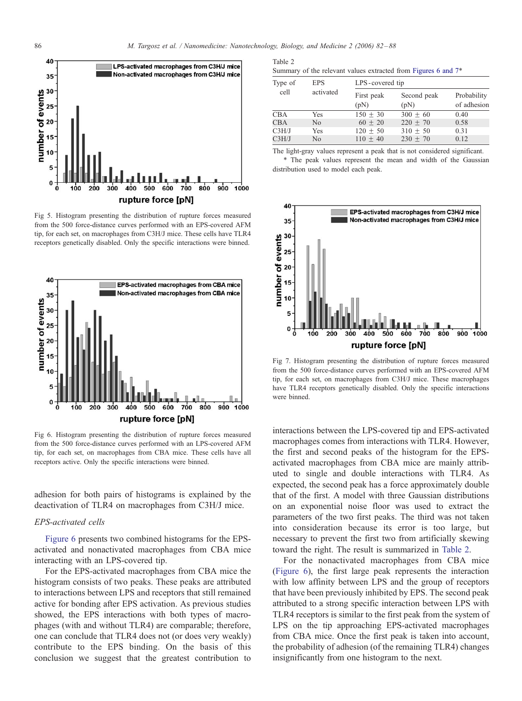<span id="page-4-0"></span>

Fig 5. Histogram presenting the distribution of rupture forces measured from the 500 force-distance curves performed with an EPS-covered AFM tip, for each set, on macrophages from C3H/J mice. These cells have TLR4 receptors genetically disabled. Only the specific interactions were binned.



Fig 6. Histogram presenting the distribution of rupture forces measured from the 500 force-distance curves performed with an LPS-covered AFM tip, for each set, on macrophages from CBA mice. These cells have all receptors active. Only the specific interactions were binned.

adhesion for both pairs of histograms is explained by the deactivation of TLR4 on macrophages from C3H/J mice.

## EPS-activated cells

Figure 6 presents two combined histograms for the EPSactivated and nonactivated macrophages from CBA mice interacting with an LPS-covered tip.

For the EPS-activated macrophages from CBA mice the histogram consists of two peaks. These peaks are attributed to interactions between LPS and receptors that still remained active for bonding after EPS activation. As previous studies showed, the EPS interactions with both types of macrophages (with and without TLR4) are comparable; therefore, one can conclude that TLR4 does not (or does very weakly) contribute to the EPS binding. On the basis of this conclusion we suggest that the greatest contribution to

| Table 2 |  |  |                                                                            |  |  |  |
|---------|--|--|----------------------------------------------------------------------------|--|--|--|
|         |  |  | Summary of the relevant values extracted from Figures 6 and 7 <sup>*</sup> |  |  |  |

| Type of<br>cell | <b>EPS</b>     | LPS-covered tip    |                     |                            |  |  |  |
|-----------------|----------------|--------------------|---------------------|----------------------------|--|--|--|
|                 | activated      | First peak<br>(pN) | Second peak<br>(pN) | Probability<br>of adhesion |  |  |  |
| CBA             | Yes            | $150 + 30$         | $300 + 60$          | 0.40                       |  |  |  |
| CBA             | N <sub>0</sub> | $60 + 20$          | $220 + 70$          | 0.58                       |  |  |  |
| C3H/J           | Yes            | $120 + 50$         | $310 + 50$          | 0.31                       |  |  |  |
| C3H/J           | No             | $110 + 40$         | $230 + 70$          | 0.12                       |  |  |  |

The light-gray values represent a peak that is not considered significant. 4 The peak values represent the mean and width of the Gaussian distribution used to model each peak.



Fig 7. Histogram presenting the distribution of rupture forces measured from the 500 force-distance curves performed with an EPS-covered AFM tip, for each set, on macrophages from C3H/J mice. These macrophages have TLR4 receptors genetically disabled. Only the specific interactions were binned.

interactions between the LPS-covered tip and EPS-activated macrophages comes from interactions with TLR4. However, the first and second peaks of the histogram for the EPSactivated macrophages from CBA mice are mainly attributed to single and double interactions with TLR4. As expected, the second peak has a force approximately double that of the first. A model with three Gaussian distributions on an exponential noise floor was used to extract the parameters of the two first peaks. The third was not taken into consideration because its error is too large, but necessary to prevent the first two from artificially skewing toward the right. The result is summarized in Table 2.

For the nonactivated macrophages from CBA mice (Figure 6), the first large peak represents the interaction with low affinity between LPS and the group of receptors that have been previously inhibited by EPS. The second peak attributed to a strong specific interaction between LPS with TLR4 receptors is similar to the first peak from the system of LPS on the tip approaching EPS-activated macrophages from CBA mice. Once the first peak is taken into account, the probability of adhesion (of the remaining TLR4) changes insignificantly from one histogram to the next.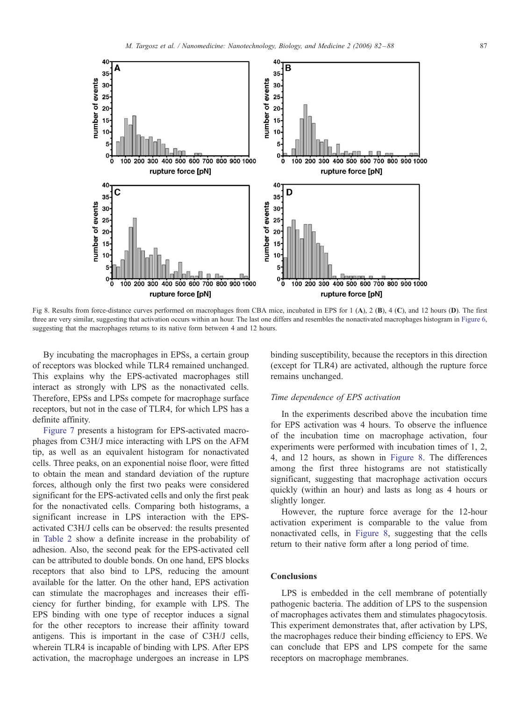

Fig 8. Results from force-distance curves performed on macrophages from CBA mice, incubated in EPS for 1 (A), 2 (B), 4 (C), and 12 hours (D). The first three are very similar, suggesting that activation occurs within an hour. The last one differs and resembles the nonactivated macrophages histogram in [Figure 6,](#page-4-0) suggesting that the macrophages returns to its native form between 4 and 12 hours.

By incubating the macrophages in EPSs, a certain group of receptors was blocked while TLR4 remained unchanged. This explains why the EPS-activated macrophages still interact as strongly with LPS as the nonactivated cells. Therefore, EPSs and LPSs compete for macrophage surface receptors, but not in the case of TLR4, for which LPS has a definite affinity.

[Figure 7](#page-4-0) presents a histogram for EPS-activated macrophages from C3H/J mice interacting with LPS on the AFM tip, as well as an equivalent histogram for nonactivated cells. Three peaks, on an exponential noise floor, were fitted to obtain the mean and standard deviation of the rupture forces, although only the first two peaks were considered significant for the EPS-activated cells and only the first peak for the nonactivated cells. Comparing both histograms, a significant increase in LPS interaction with the EPSactivated C3H/J cells can be observed: the results presented in [Table 2](#page-4-0) show a definite increase in the probability of adhesion. Also, the second peak for the EPS-activated cell can be attributed to double bonds. On one hand, EPS blocks receptors that also bind to LPS, reducing the amount available for the latter. On the other hand, EPS activation can stimulate the macrophages and increases their efficiency for further binding, for example with LPS. The EPS binding with one type of receptor induces a signal for the other receptors to increase their affinity toward antigens. This is important in the case of C3H/J cells, wherein TLR4 is incapable of binding with LPS. After EPS activation, the macrophage undergoes an increase in LPS

binding susceptibility, because the receptors in this direction (except for TLR4) are activated, although the rupture force remains unchanged.

## Time dependence of EPS activation

In the experiments described above the incubation time for EPS activation was 4 hours. To observe the influence of the incubation time on macrophage activation, four experiments were performed with incubation times of 1, 2, 4, and 12 hours, as shown in Figure 8. The differences among the first three histograms are not statistically significant, suggesting that macrophage activation occurs quickly (within an hour) and lasts as long as 4 hours or slightly longer.

However, the rupture force average for the 12-hour activation experiment is comparable to the value from nonactivated cells, in Figure 8, suggesting that the cells return to their native form after a long period of time.

## **Conclusions**

LPS is embedded in the cell membrane of potentially pathogenic bacteria. The addition of LPS to the suspension of macrophages activates them and stimulates phagocytosis. This experiment demonstrates that, after activation by LPS, the macrophages reduce their binding efficiency to EPS. We can conclude that EPS and LPS compete for the same receptors on macrophage membranes.